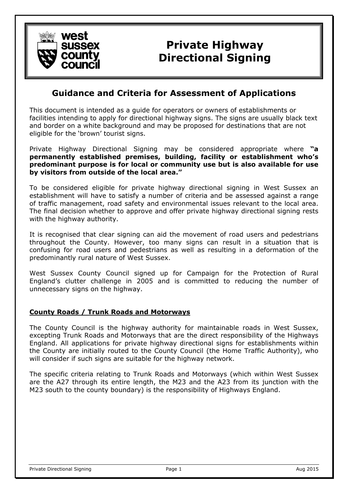

# **Private Highway Directional Signing**

## **Guidance and Criteria for Assessment of Applications**

This document is intended as a guide for operators or owners of establishments or facilities intending to apply for directional highway signs. The signs are usually black text and border on a white background and may be proposed for destinations that are not eligible for the 'brown' tourist signs.

Private Highway Directional Signing may be considered appropriate where **"a permanently established premises, building, facility or establishment who's predominant purpose is for local or community use but is also available for use by visitors from outside of the local area."**

To be considered eligible for private highway directional signing in West Sussex an establishment will have to satisfy a number of criteria and be assessed against a range of traffic management, road safety and environmental issues relevant to the local area. The final decision whether to approve and offer private highway directional signing rests with the highway authority.

It is recognised that clear signing can aid the movement of road users and pedestrians throughout the County. However, too many signs can result in a situation that is confusing for road users and pedestrians as well as resulting in a deformation of the predominantly rural nature of West Sussex.

West Sussex County Council signed up for Campaign for the Protection of Rural England's clutter challenge in 2005 and is committed to reducing the number of unnecessary signs on the highway.

#### **County Roads / Trunk Roads and Motorways**

The County Council is the highway authority for maintainable roads in West Sussex, excepting Trunk Roads and Motorways that are the direct responsibility of the Highways England. All applications for private highway directional signs for establishments within the County are initially routed to the County Council (the Home Traffic Authority), who will consider if such signs are suitable for the highway network.

The specific criteria relating to Trunk Roads and Motorways (which within West Sussex are the A27 through its entire length, the M23 and the A23 from its junction with the M23 south to the county boundary) is the responsibility of Highways England.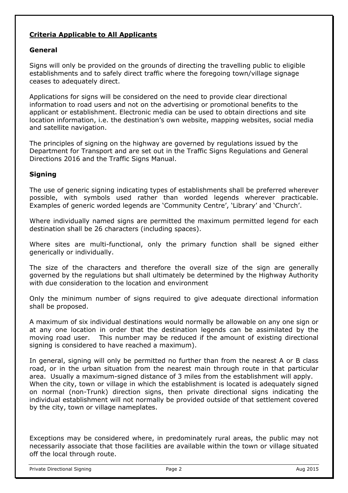### **Criteria Applicable to All Applicants**

#### **General**

Signs will only be provided on the grounds of directing the travelling public to eligible establishments and to safely direct traffic where the foregoing town/village signage ceases to adequately direct.

Applications for signs will be considered on the need to provide clear directional information to road users and not on the advertising or promotional benefits to the applicant or establishment. Electronic media can be used to obtain directions and site location information, i.e. the destination's own website, mapping websites, social media and satellite navigation.

The principles of signing on the highway are governed by regulations issued by the Department for Transport and are set out in the Traffic Signs Regulations and General Directions 2016 and the Traffic Signs Manual.

#### **Signing**

The use of generic signing indicating types of establishments shall be preferred wherever possible, with symbols used rather than worded legends wherever practicable. Examples of generic worded legends are 'Community Centre', 'Library' and 'Church'.

Where individually named signs are permitted the maximum permitted legend for each destination shall be 26 characters (including spaces).

Where sites are multi-functional, only the primary function shall be signed either generically or individually.

The size of the characters and therefore the overall size of the sign are generally governed by the regulations but shall ultimately be determined by the Highway Authority with due consideration to the location and environment

Only the minimum number of signs required to give adequate directional information shall be proposed.

A maximum of six individual destinations would normally be allowable on any one sign or at any one location in order that the destination legends can be assimilated by the moving road user. This number may be reduced if the amount of existing directional signing is considered to have reached a maximum).

In general, signing will only be permitted no further than from the nearest A or B class road, or in the urban situation from the nearest main through route in that particular area. Usually a maximum-signed distance of 3 miles from the establishment will apply. When the city, town or village in which the establishment is located is adequately signed on normal (non-Trunk) direction signs, then private directional signs indicating the individual establishment will not normally be provided outside of that settlement covered by the city, town or village nameplates.

Exceptions may be considered where, in predominately rural areas, the public may not necessarily associate that those facilities are available within the town or village situated off the local through route.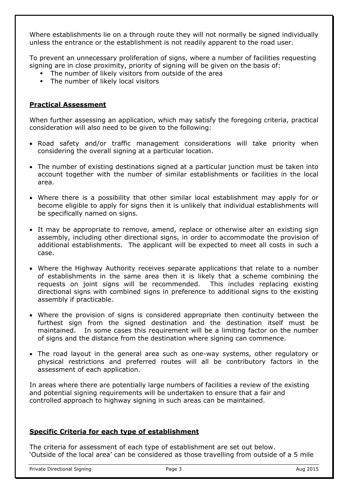Where establishments lie on a through route they will not normally be signed individually unless the entrance or the establishment is not readily apparent to the road user.

To prevent an unnecessary proliferation of signs, where a number of facilities requesting signing are in close proximity, priority of signing will be given on the basis of:

- The number of likely visitors from outside of the area
- The number of likely local visitors

#### **Practical Assessment**

When further assessing an application, which may satisfy the foregoing criteria, practical consideration will also need to be given to the following:

- Road safety and/or traffic management considerations will take priority when considering the overall signing at a particular location.
- The number of existing destinations signed at a particular junction must be taken into account together with the number of similar establishments or facilities in the local area.
- Where there is a possibility that other similar local establishment may apply for or become eligible to apply for signs then it is unlikely that individual establishments will be specifically named on signs.
- It may be appropriate to remove, amend, replace or otherwise alter an existing sign assembly, including other directional signs, in order to accommodate the provision of additional establishments. The applicant will be expected to meet all costs in such a case.
- Where the Highway Authority receives separate applications that relate to a number of establishments in the same area then it is likely that a scheme combining the requests on joint signs will be recommended. This includes replacing existing directional signs with combined signs in preference to additional signs to the existing assembly if practicable.
- Where the provision of signs is considered appropriate then continuity between the furthest sign from the signed destination and the destination itself must be maintained. In some cases this requirement will be a limiting factor on the number of signs and the distance from the destination where signing can commence.
- The road layout in the general area such as one-way systems, other regulatory or physical restrictions and preferred routes will all be contributory factors in the assessment of each application.

In areas where there are potentially large numbers of facilities a review of the existing and potential signing requirements will be undertaken to ensure that a fair and controlled approach to highway signing in such areas can be maintained.

#### **Specific Criteria for each type of establishment**

The criteria for assessment of each type of establishment are set out below. 'Outside of the local area' can be considered as those travelling from outside of a 5 mile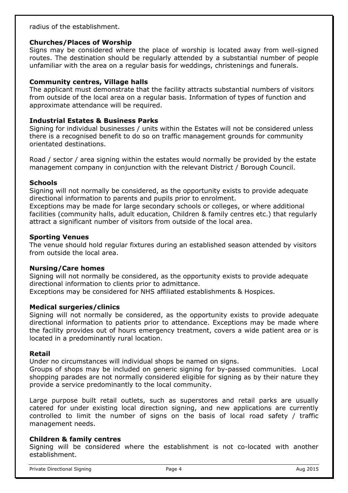radius of the establishment.

#### **Churches/Places of Worship**

Signs may be considered where the place of worship is located away from well-signed routes. The destination should be regularly attended by a substantial number of people unfamiliar with the area on a regular basis for weddings, christenings and funerals.

#### **Community centres, Village halls**

The applicant must demonstrate that the facility attracts substantial numbers of visitors from outside of the local area on a regular basis. Information of types of function and approximate attendance will be required.

#### **Industrial Estates & Business Parks**

Signing for individual businesses / units within the Estates will not be considered unless there is a recognised benefit to do so on traffic management grounds for community orientated destinations.

Road / sector / area signing within the estates would normally be provided by the estate management company in conjunction with the relevant District / Borough Council.

#### **Schools**

Signing will not normally be considered, as the opportunity exists to provide adequate directional information to parents and pupils prior to enrolment.

Exceptions may be made for large secondary schools or colleges, or where additional facilities (community halls, adult education, Children & family centres etc.) that regularly attract a significant number of visitors from outside of the local area.

#### **Sporting Venues**

The venue should hold regular fixtures during an established season attended by visitors from outside the local area.

#### **Nursing/Care homes**

Signing will not normally be considered, as the opportunity exists to provide adequate directional information to clients prior to admittance. Exceptions may be considered for NHS affiliated establishments & Hospices.

#### **Medical surgeries/clinics**

Signing will not normally be considered, as the opportunity exists to provide adequate directional information to patients prior to attendance. Exceptions may be made where the facility provides out of hours emergency treatment, covers a wide patient area or is located in a predominantly rural location.

#### **Retail**

Under no circumstances will individual shops be named on signs.

Groups of shops may be included on generic signing for by-passed communities. Local shopping parades are not normally considered eligible for signing as by their nature they provide a service predominantly to the local community.

Large purpose built retail outlets, such as superstores and retail parks are usually catered for under existing local direction signing, and new applications are currently controlled to limit the number of signs on the basis of local road safety / traffic management needs.

#### **Children & family centres**

Signing will be considered where the establishment is not co-located with another establishment.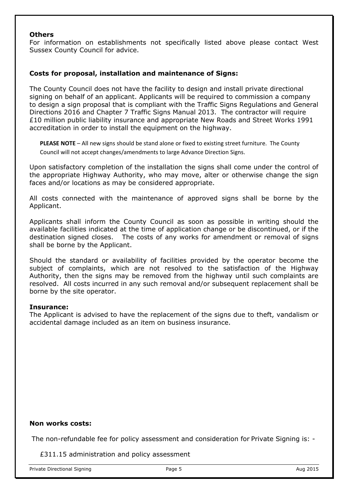#### **Others**

For information on establishments not specifically listed above please contact West Sussex County Council for advice.

#### **Costs for proposal, installation and maintenance of Signs:**

The County Council does not have the facility to design and install private directional signing on behalf of an applicant. Applicants will be required to commission a company to design a sign proposal that is compliant with the Traffic Signs Regulations and General Directions 2016 and Chapter 7 Traffic Signs Manual 2013. The contractor will require £10 million public liability insurance and appropriate New Roads and Street Works 1991 accreditation in order to install the equipment on the highway.

**PLEASE NOTE** – All new signs should be stand alone or fixed to existing street furniture. The County Council will not accept changes/amendments to large Advance Direction Signs.

Upon satisfactory completion of the installation the signs shall come under the control of the appropriate Highway Authority, who may move, alter or otherwise change the sign faces and/or locations as may be considered appropriate.

All costs connected with the maintenance of approved signs shall be borne by the Applicant.

Applicants shall inform the County Council as soon as possible in writing should the available facilities indicated at the time of application change or be discontinued, or if the destination signed closes. The costs of any works for amendment or removal of signs shall be borne by the Applicant.

Should the standard or availability of facilities provided by the operator become the subject of complaints, which are not resolved to the satisfaction of the Highway Authority, then the signs may be removed from the highway until such complaints are resolved. All costs incurred in any such removal and/or subsequent replacement shall be borne by the site operator.

#### **Insurance:**

The Applicant is advised to have the replacement of the signs due to theft, vandalism or accidental damage included as an item on business insurance.

#### **Non works costs:**

The non-refundable fee for policy assessment and consideration for Private Signing is: -

£311.15 administration and policy assessment